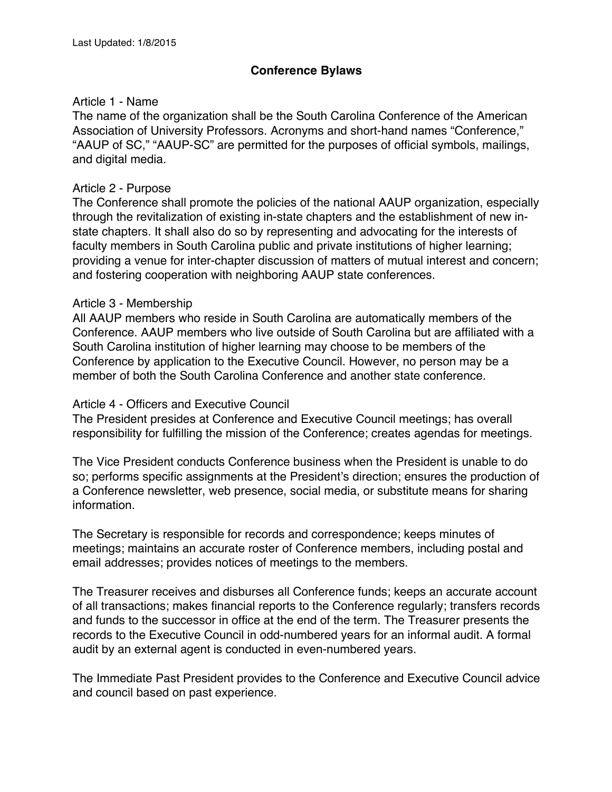## **Conference Bylaws**

### Article 1 - Name

The name of the organization shall be the South Carolina Conference of the American Association of University Professors. Acronyms and short-hand names "Conference," "AAUP of SC," "AAUP-SC" are permitted for the purposes of official symbols, mailings, and digital media.

#### Article 2 - Purpose

The Conference shall promote the policies of the national AAUP organization, especially through the revitalization of existing in-state chapters and the establishment of new instate chapters. It shall also do so by representing and advocating for the interests of faculty members in South Carolina public and private institutions of higher learning; providing a venue for inter-chapter discussion of matters of mutual interest and concern; and fostering cooperation with neighboring AAUP state conferences.

#### Article 3 - Membership

All AAUP members who reside in South Carolina are automatically members of the Conference. AAUP members who live outside of South Carolina but are affiliated with a South Carolina institution of higher learning may choose to be members of the Conference by application to the Executive Council. However, no person may be a member of both the South Carolina Conference and another state conference.

#### Article 4 - Officers and Executive Council

The President presides at Conference and Executive Council meetings; has overall responsibility for fulfilling the mission of the Conference; creates agendas for meetings.

The Vice President conducts Conference business when the President is unable to do so; performs specific assignments at the President's direction; ensures the production of a Conference newsletter, web presence, social media, or substitute means for sharing information.

The Secretary is responsible for records and correspondence; keeps minutes of meetings; maintains an accurate roster of Conference members, including postal and email addresses; provides notices of meetings to the members.

The Treasurer receives and disburses all Conference funds; keeps an accurate account of all transactions; makes financial reports to the Conference regularly; transfers records and funds to the successor in office at the end of the term. The Treasurer presents the records to the Executive Council in odd-numbered years for an informal audit. A formal audit by an external agent is conducted in even-numbered years.

The Immediate Past President provides to the Conference and Executive Council advice and council based on past experience.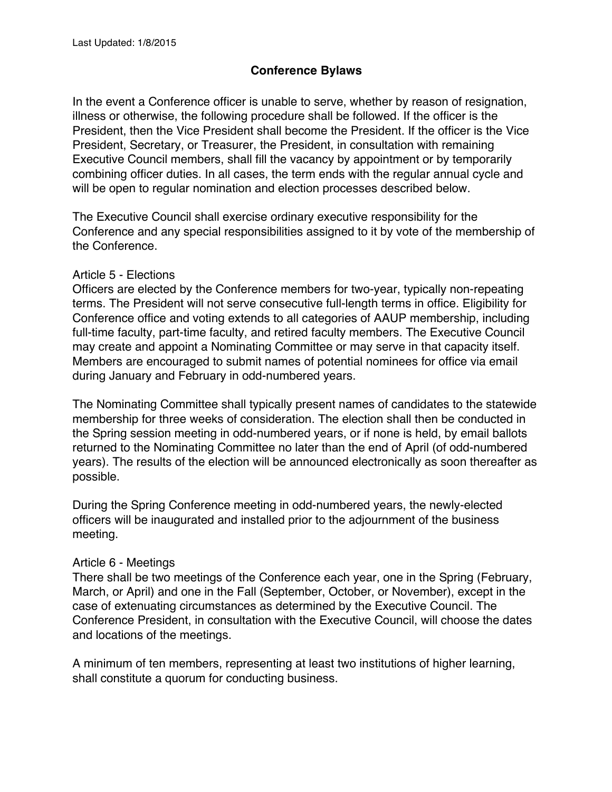# **Conference Bylaws**

In the event a Conference officer is unable to serve, whether by reason of resignation, illness or otherwise, the following procedure shall be followed. If the officer is the President, then the Vice President shall become the President. If the officer is the Vice President, Secretary, or Treasurer, the President, in consultation with remaining Executive Council members, shall fill the vacancy by appointment or by temporarily combining officer duties. In all cases, the term ends with the regular annual cycle and will be open to regular nomination and election processes described below.

The Executive Council shall exercise ordinary executive responsibility for the Conference and any special responsibilities assigned to it by vote of the membership of the Conference.

#### Article 5 - Elections

Officers are elected by the Conference members for two-year, typically non-repeating terms. The President will not serve consecutive full-length terms in office. Eligibility for Conference office and voting extends to all categories of AAUP membership, including full-time faculty, part-time faculty, and retired faculty members. The Executive Council may create and appoint a Nominating Committee or may serve in that capacity itself. Members are encouraged to submit names of potential nominees for office via email during January and February in odd-numbered years.

The Nominating Committee shall typically present names of candidates to the statewide membership for three weeks of consideration. The election shall then be conducted in the Spring session meeting in odd-numbered years, or if none is held, by email ballots returned to the Nominating Committee no later than the end of April (of odd-numbered years). The results of the election will be announced electronically as soon thereafter as possible.

During the Spring Conference meeting in odd-numbered years, the newly-elected officers will be inaugurated and installed prior to the adjournment of the business meeting.

### Article 6 - Meetings

There shall be two meetings of the Conference each year, one in the Spring (February, March, or April) and one in the Fall (September, October, or November), except in the case of extenuating circumstances as determined by the Executive Council. The Conference President, in consultation with the Executive Council, will choose the dates and locations of the meetings.

A minimum of ten members, representing at least two institutions of higher learning, shall constitute a quorum for conducting business.